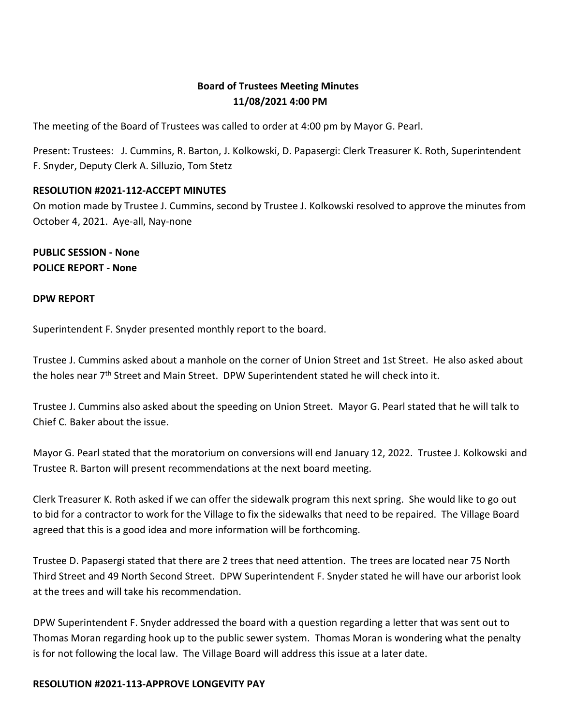# **Board of Trustees Meeting Minutes 11/08/2021 4:00 PM**

The meeting of the Board of Trustees was called to order at 4:00 pm by Mayor G. Pearl.

Present: Trustees: J. Cummins, R. Barton, J. Kolkowski, D. Papasergi: Clerk Treasurer K. Roth, Superintendent F. Snyder, Deputy Clerk A. Silluzio, Tom Stetz

#### **RESOLUTION #2021-112-ACCEPT MINUTES**

On motion made by Trustee J. Cummins, second by Trustee J. Kolkowski resolved to approve the minutes from October 4, 2021. Aye-all, Nay-none

**PUBLIC SESSION - None POLICE REPORT - None**

#### **DPW REPORT**

Superintendent F. Snyder presented monthly report to the board.

Trustee J. Cummins asked about a manhole on the corner of Union Street and 1st Street. He also asked about the holes near 7<sup>th</sup> Street and Main Street. DPW Superintendent stated he will check into it.

Trustee J. Cummins also asked about the speeding on Union Street. Mayor G. Pearl stated that he will talk to Chief C. Baker about the issue.

Mayor G. Pearl stated that the moratorium on conversions will end January 12, 2022. Trustee J. Kolkowski and Trustee R. Barton will present recommendations at the next board meeting.

Clerk Treasurer K. Roth asked if we can offer the sidewalk program this next spring. She would like to go out to bid for a contractor to work for the Village to fix the sidewalks that need to be repaired. The Village Board agreed that this is a good idea and more information will be forthcoming.

Trustee D. Papasergi stated that there are 2 trees that need attention. The trees are located near 75 North Third Street and 49 North Second Street. DPW Superintendent F. Snyder stated he will have our arborist look at the trees and will take his recommendation.

DPW Superintendent F. Snyder addressed the board with a question regarding a letter that was sent out to Thomas Moran regarding hook up to the public sewer system. Thomas Moran is wondering what the penalty is for not following the local law. The Village Board will address this issue at a later date.

#### **RESOLUTION #2021-113-APPROVE LONGEVITY PAY**